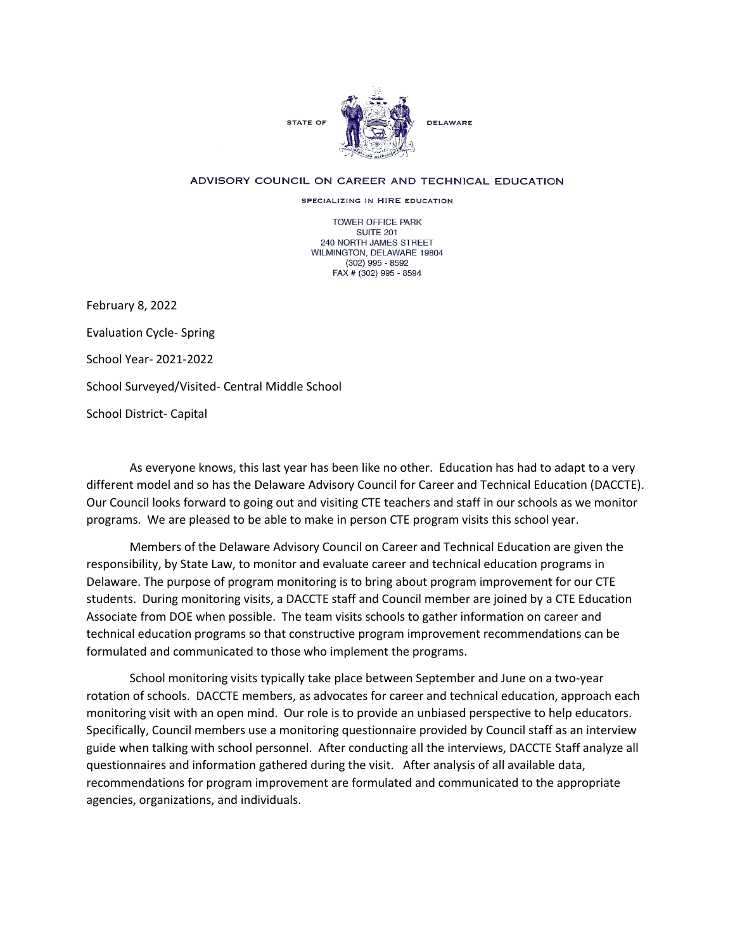

## ADVISORY COUNCIL ON CAREER AND TECHNICAL EDUCATION

SPECIALIZING IN HIRE EDUCATION

TOWER OFFICE PARK SUITE 201 240 NORTH JAMES STREET WILMINGTON, DELAWARE 19804 (302) 995 - 8592 FAX # (302) 995 - 8594

February 8, 2022 Evaluation Cycle- Spring School Year- 2021-2022 School Surveyed/Visited- Central Middle School School District- Capital

As everyone knows, this last year has been like no other. Education has had to adapt to a very different model and so has the Delaware Advisory Council for Career and Technical Education (DACCTE). Our Council looks forward to going out and visiting CTE teachers and staff in our schools as we monitor programs. We are pleased to be able to make in person CTE program visits this school year.

Members of the Delaware Advisory Council on Career and Technical Education are given the responsibility, by State Law, to monitor and evaluate career and technical education programs in Delaware. The purpose of program monitoring is to bring about program improvement for our CTE students. During monitoring visits, a DACCTE staff and Council member are joined by a CTE Education Associate from DOE when possible. The team visits schools to gather information on career and technical education programs so that constructive program improvement recommendations can be formulated and communicated to those who implement the programs.

School monitoring visits typically take place between September and June on a two-year rotation of schools. DACCTE members, as advocates for career and technical education, approach each monitoring visit with an open mind. Our role is to provide an unbiased perspective to help educators. Specifically, Council members use a monitoring questionnaire provided by Council staff as an interview guide when talking with school personnel. After conducting all the interviews, DACCTE Staff analyze all questionnaires and information gathered during the visit. After analysis of all available data, recommendations for program improvement are formulated and communicated to the appropriate agencies, organizations, and individuals.